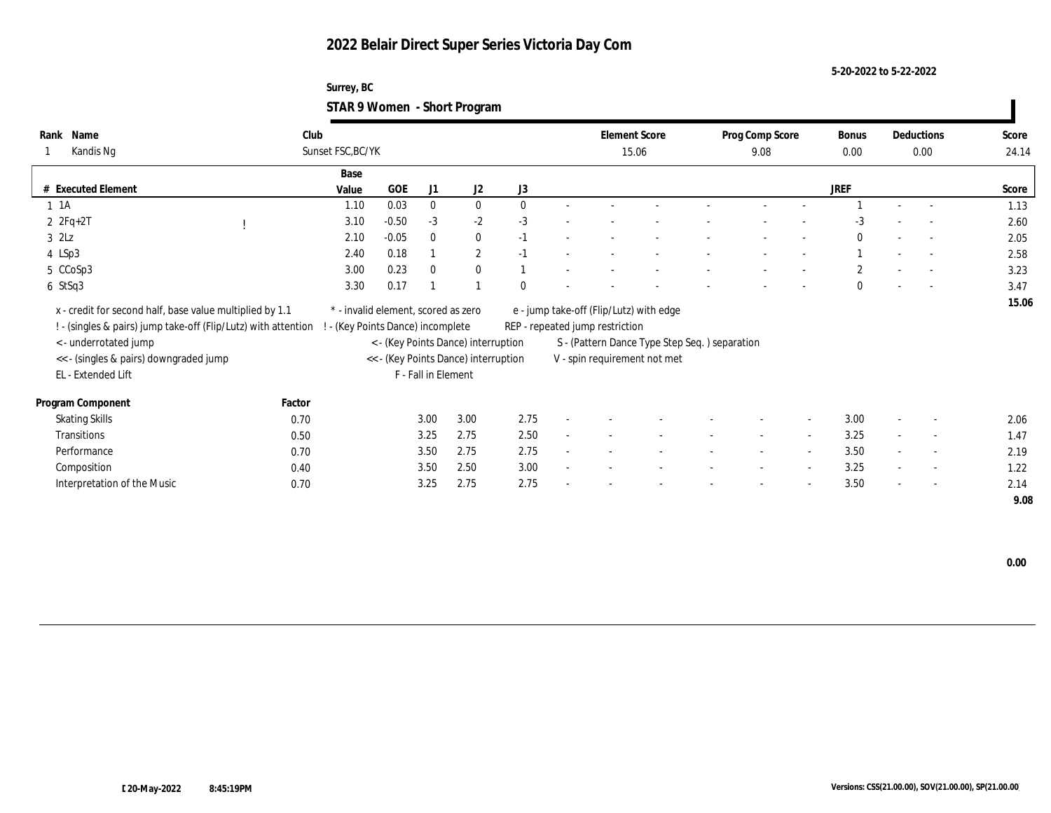**Surrey, BC STAR 9 Women - Short Program**

| Name<br>Rank                                                                                                               | Club                                                                 |            |                     |                                      |          |                                 | <b>Element Score</b>                          | Prog Comp Score          |                          | <b>Bonus</b>   |        | Deductions               | Score |
|----------------------------------------------------------------------------------------------------------------------------|----------------------------------------------------------------------|------------|---------------------|--------------------------------------|----------|---------------------------------|-----------------------------------------------|--------------------------|--------------------------|----------------|--------|--------------------------|-------|
| Kandis Ng                                                                                                                  | Sunset FSC, BC/YK                                                    |            |                     |                                      |          |                                 | 15.06                                         | 9.08                     |                          | 0.00           |        | $0.00\,$                 | 24.14 |
|                                                                                                                            | Base                                                                 |            |                     |                                      |          |                                 |                                               |                          |                          |                |        |                          |       |
| # Executed Element                                                                                                         | Value                                                                | <b>GOE</b> | J1                  | J2                                   | J3       |                                 |                                               |                          |                          | <b>JREF</b>    |        |                          | Score |
| $1 \t1A$                                                                                                                   | 1.10                                                                 | 0.03       | $\mathbf{0}$        | $\mathbf{0}$                         | $\Omega$ |                                 |                                               |                          |                          |                |        |                          | 1.13  |
| $2 \t2Fq+2T$                                                                                                               | 3.10                                                                 | $-0.50$    | $-3$                | $-2$                                 | $-3$     |                                 |                                               |                          |                          | $-3$           |        |                          | 2.60  |
| $3$ $2\text{L}z$                                                                                                           | 2.10                                                                 | $-0.05$    | $\bf{0}$            | $\bf{0}$                             | $-1$     |                                 |                                               |                          |                          | $\theta$       |        |                          | 2.05  |
| 4 LSp3                                                                                                                     | 2.40                                                                 | 0.18       |                     | $\mathbf{2}$                         | $-1$     |                                 |                                               |                          |                          |                |        | $\sim$                   | 2.58  |
| 5 CCoSp3                                                                                                                   | 3.00                                                                 | 0.23       | $\bf{0}$            | $\mathbf{0}$                         |          |                                 |                                               |                          |                          | $\overline{c}$ |        | $\sim$                   | 3.23  |
| 6 StSq3                                                                                                                    | 3.30                                                                 | 0.17       |                     |                                      | $\Omega$ |                                 |                                               |                          | $\overline{\phantom{0}}$ | $\Omega$       | $\sim$ | $\sim$                   | 3.47  |
| x - credit for second half, base value multiplied by 1.1<br>! - (singles & pairs) jump take-off (Flip/Lutz) with attention | * - invalid element, scored as zero<br>(Key Points Dance) incomplete |            |                     |                                      |          | REP - repeated jump restriction | e - jump take-off (Flip/Lutz) with edge       |                          |                          |                |        |                          | 15.06 |
| < - underrotated jump                                                                                                      |                                                                      |            |                     | < - (Key Points Dance) interruption  |          |                                 | S - (Pattern Dance Type Step Seq.) separation |                          |                          |                |        |                          |       |
| << - (singles & pairs) downgraded jump                                                                                     |                                                                      |            |                     | << - (Key Points Dance) interruption |          |                                 | V - spin requirement not met                  |                          |                          |                |        |                          |       |
| EL - Extended Lift                                                                                                         |                                                                      |            | F - Fall in Element |                                      |          |                                 |                                               |                          |                          |                |        |                          |       |
| Program Component                                                                                                          | Factor                                                               |            |                     |                                      |          |                                 |                                               |                          |                          |                |        |                          |       |
| <b>Skating Skills</b>                                                                                                      | 0.70                                                                 |            | 3.00                | 3.00                                 | 2.75     |                                 |                                               | $\overline{\phantom{a}}$ | $\overline{\phantom{a}}$ | 3.00           |        | $\overline{\phantom{a}}$ | 2.06  |
| Transitions                                                                                                                | 0.50                                                                 |            | 3.25                | 2.75                                 | 2.50     |                                 |                                               |                          | $\overline{\phantom{a}}$ | 3.25           |        | $\overline{\phantom{a}}$ | 1.47  |
| Performance                                                                                                                | 0.70                                                                 |            | 3.50                | 2.75                                 | 2.75     |                                 |                                               | $\sim$                   | $\sim$                   | 3.50           | $\sim$ | $\sim$                   | 2.19  |
| Composition                                                                                                                | 0.40                                                                 |            | 3.50                | 2.50                                 | 3.00     |                                 |                                               |                          | $\overline{\phantom{a}}$ | 3.25           |        | $\overline{\phantom{a}}$ | 1.22  |
| Interpretation of the Music                                                                                                | 0.70                                                                 |            | 3.25                | 2.75                                 | 2.75     |                                 |                                               |                          | $\overline{\phantom{a}}$ | 3.50           |        | $\overline{\phantom{a}}$ | 2.14  |
|                                                                                                                            |                                                                      |            |                     |                                      |          |                                 |                                               |                          |                          |                |        |                          | 9.08  |

 **0.00**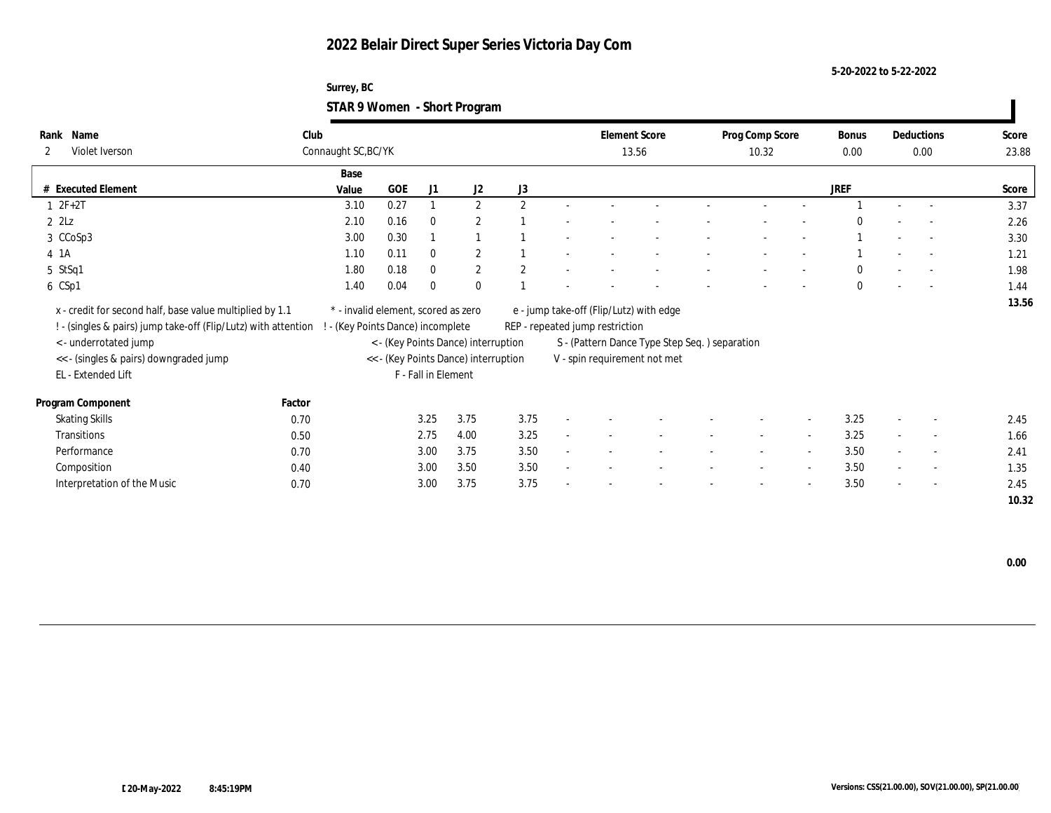**Surrey, BC STAR 9 Women - Short Program**

| Name<br>Rank<br>Violet Iverson<br>$\mathbf{2}$                                                                             | Club   | Connaught SC, BC/YK                                                    |      |                     |                                      |                |                                 | <b>Element Score</b><br>13.56                 | Prog Comp Score<br>10.32 |                          | <b>Bonus</b><br>0.00 |                          | Deductions<br>0.00       | Score<br>23.88 |
|----------------------------------------------------------------------------------------------------------------------------|--------|------------------------------------------------------------------------|------|---------------------|--------------------------------------|----------------|---------------------------------|-----------------------------------------------|--------------------------|--------------------------|----------------------|--------------------------|--------------------------|----------------|
|                                                                                                                            |        | Base                                                                   |      |                     |                                      |                |                                 |                                               |                          |                          |                      |                          |                          |                |
| # Executed Element                                                                                                         |        | Value                                                                  | GOE  | J1                  | J2                                   | J3             |                                 |                                               |                          |                          | JREF                 |                          |                          | Score          |
| $1 2F + 2T$                                                                                                                |        | 3.10                                                                   | 0.27 |                     | $\mathbf{2}$                         | 2              |                                 |                                               |                          |                          |                      |                          |                          | 3.37           |
| $2$ $2\text{L}z$                                                                                                           |        | 2.10                                                                   | 0.16 | $\bf{0}$            | $\mathbf{2}$                         |                |                                 |                                               |                          |                          | $\theta$             |                          |                          | 2.26           |
| 3 CCoSp3                                                                                                                   |        | 3.00                                                                   | 0.30 |                     |                                      |                |                                 |                                               |                          |                          |                      |                          |                          | 3.30           |
| 4 1 A                                                                                                                      |        | 1.10                                                                   | 0.11 | $\mathbf{0}$        | $\mathbf{2}$                         |                |                                 |                                               |                          |                          |                      |                          | $\overline{a}$           | 1.21           |
| 5 StSq1                                                                                                                    |        | 1.80                                                                   | 0.18 | $\mathbf{0}$        | $\mathbf{2}$                         | $\overline{2}$ |                                 |                                               |                          |                          | $\bf{0}$             |                          | $\overline{\phantom{a}}$ | 1.98           |
| 6 CSp1                                                                                                                     |        | 1.40                                                                   | 0.04 | $\Omega$            | $\mathbf{0}$                         |                |                                 |                                               |                          |                          | $\mathbf{0}$         |                          |                          | 1.44           |
| x - credit for second half, base value multiplied by 1.1<br>! - (singles & pairs) jump take-off (Flip/Lutz) with attention |        | * - invalid element, scored as zero<br>- (Key Points Dance) incomplete |      |                     |                                      |                | REP - repeated jump restriction | e - jump take-off (Flip/Lutz) with edge       |                          |                          |                      |                          |                          | 13.56          |
| < - underrotated jump                                                                                                      |        |                                                                        |      |                     | < - (Key Points Dance) interruption  |                |                                 | S - (Pattern Dance Type Step Seq.) separation |                          |                          |                      |                          |                          |                |
| << - (singles & pairs) downgraded jump                                                                                     |        |                                                                        |      |                     | << - (Key Points Dance) interruption |                |                                 | V - spin requirement not met                  |                          |                          |                      |                          |                          |                |
| EL - Extended Lift                                                                                                         |        |                                                                        |      | F - Fall in Element |                                      |                |                                 |                                               |                          |                          |                      |                          |                          |                |
| Program Component                                                                                                          | Factor |                                                                        |      |                     |                                      |                |                                 |                                               |                          |                          |                      |                          |                          |                |
| <b>Skating Skills</b>                                                                                                      | 0.70   |                                                                        |      | 3.25                | 3.75                                 | 3.75           |                                 |                                               |                          | $\overline{\phantom{a}}$ | 3.25                 | $\overline{\phantom{a}}$ | $\overline{\phantom{a}}$ | 2.45           |
| Transitions                                                                                                                | 0.50   |                                                                        |      | 2.75                | 4.00                                 | 3.25           |                                 |                                               |                          | $\sim$                   | 3.25                 |                          | $\sim$                   | 1.66           |
| Performance                                                                                                                | 0.70   |                                                                        |      | 3.00                | 3.75                                 | 3.50           |                                 |                                               | $\sim$                   | $\overline{\phantom{a}}$ | 3.50                 | $\sim$                   | $\overline{\phantom{a}}$ | 2.41           |
| Composition                                                                                                                | 0.40   |                                                                        |      | 3.00                | 3.50                                 | 3.50           |                                 |                                               |                          | $\sim$                   | 3.50                 | $\sim$                   | $\sim$                   | 1.35           |
| Interpretation of the Music                                                                                                | 0.70   |                                                                        |      | 3.00                | 3.75                                 | 3.75           |                                 |                                               |                          | $\overline{\phantom{a}}$ | 3.50                 | $\sim$                   | $\sim$                   | 2.45           |
|                                                                                                                            |        |                                                                        |      |                     |                                      |                |                                 |                                               |                          |                          |                      |                          |                          | 10.32          |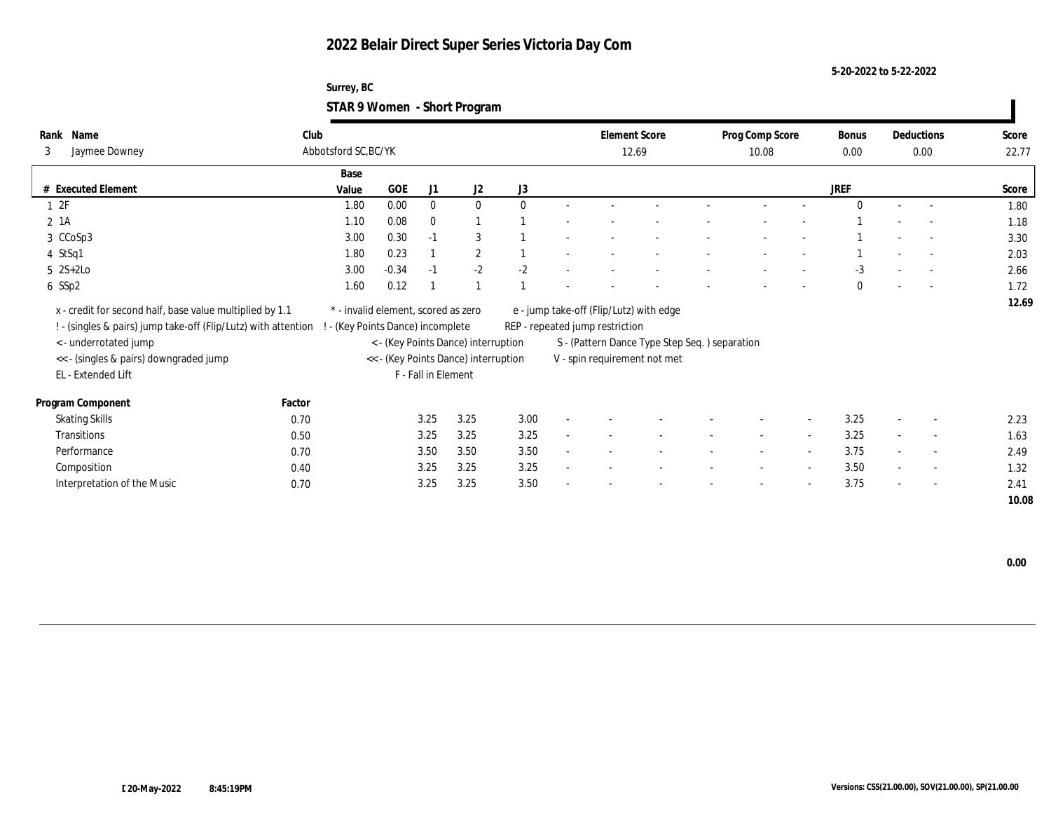### **Surrey, BC STAR 9 Women - Short Program**

| Name                  | Club                                                                                                                                  |                                                                                                                                    |         |                      |                                      |                                                                                               |                                                                             |  |                                                                                                                                             |        |                                               | Bonus           |                          |                          | Score              |
|-----------------------|---------------------------------------------------------------------------------------------------------------------------------------|------------------------------------------------------------------------------------------------------------------------------------|---------|----------------------|--------------------------------------|-----------------------------------------------------------------------------------------------|-----------------------------------------------------------------------------|--|---------------------------------------------------------------------------------------------------------------------------------------------|--------|-----------------------------------------------|-----------------|--------------------------|--------------------------|--------------------|
|                       |                                                                                                                                       |                                                                                                                                    |         |                      |                                      |                                                                                               |                                                                             |  |                                                                                                                                             | 10.08  |                                               | 0.00            |                          |                          | 22.77              |
|                       |                                                                                                                                       | Base                                                                                                                               |         |                      |                                      |                                                                                               |                                                                             |  |                                                                                                                                             |        |                                               |                 |                          |                          |                    |
| # Executed Element    |                                                                                                                                       |                                                                                                                                    | GOE     | J1                   | J <sub>2</sub>                       | J3                                                                                            |                                                                             |  |                                                                                                                                             |        |                                               | JREF            |                          |                          | Score              |
|                       |                                                                                                                                       | 1.80                                                                                                                               | 0.00    | $\mathbf{0}$         | $\mathbf{0}$                         | $\theta$                                                                                      |                                                                             |  |                                                                                                                                             |        |                                               | $\Omega$        |                          | $\overline{a}$           | 1.80               |
|                       |                                                                                                                                       | 1.10                                                                                                                               | 0.08    | $\mathbf{0}$         |                                      |                                                                                               |                                                                             |  |                                                                                                                                             |        |                                               |                 |                          |                          | 1.18               |
| 3 CCoSp3              |                                                                                                                                       | 3.00                                                                                                                               | 0.30    | $-1$                 | 3                                    |                                                                                               |                                                                             |  |                                                                                                                                             |        |                                               |                 |                          |                          | 3.30               |
|                       |                                                                                                                                       | 1.80                                                                                                                               | 0.23    |                      | $\boldsymbol{2}$                     |                                                                                               |                                                                             |  |                                                                                                                                             |        |                                               |                 |                          |                          | 2.03               |
| $5 \quad 2S+2Lo$      |                                                                                                                                       | 3.00                                                                                                                               | $-0.34$ | $-1$                 | $-2$                                 | $-2$                                                                                          |                                                                             |  |                                                                                                                                             |        |                                               | $-3$            |                          |                          | 2.66               |
|                       |                                                                                                                                       | 1.60                                                                                                                               | 0.12    |                      |                                      |                                                                                               |                                                                             |  |                                                                                                                                             |        |                                               | $\theta$        |                          | $\overline{\phantom{a}}$ | 1.72               |
|                       |                                                                                                                                       |                                                                                                                                    |         |                      |                                      |                                                                                               |                                                                             |  |                                                                                                                                             |        |                                               |                 |                          |                          | 12.69              |
|                       |                                                                                                                                       |                                                                                                                                    |         |                      |                                      |                                                                                               |                                                                             |  |                                                                                                                                             |        |                                               |                 |                          |                          |                    |
|                       |                                                                                                                                       |                                                                                                                                    |         |                      |                                      |                                                                                               |                                                                             |  |                                                                                                                                             |        |                                               |                 |                          |                          |                    |
|                       |                                                                                                                                       |                                                                                                                                    |         |                      |                                      |                                                                                               |                                                                             |  |                                                                                                                                             |        |                                               |                 |                          |                          |                    |
|                       |                                                                                                                                       |                                                                                                                                    |         |                      |                                      |                                                                                               |                                                                             |  |                                                                                                                                             |        |                                               |                 |                          |                          |                    |
|                       |                                                                                                                                       |                                                                                                                                    |         |                      |                                      |                                                                                               |                                                                             |  |                                                                                                                                             |        |                                               |                 |                          |                          |                    |
| Program Component     | Factor                                                                                                                                |                                                                                                                                    |         |                      |                                      |                                                                                               |                                                                             |  |                                                                                                                                             |        |                                               |                 |                          |                          |                    |
| <b>Skating Skills</b> | 0.70                                                                                                                                  |                                                                                                                                    |         |                      | 3.25                                 | 3.00                                                                                          |                                                                             |  |                                                                                                                                             |        | $\sim$                                        | 3.25            |                          | $\overline{\phantom{a}}$ | 2.23               |
| Transitions           | 0.50                                                                                                                                  |                                                                                                                                    |         |                      | 3.25                                 | 3.25                                                                                          |                                                                             |  |                                                                                                                                             |        | $\sim$                                        | 3.25            | $\sim$                   | $\sim$                   | 1.63               |
| Performance           | 0.70                                                                                                                                  |                                                                                                                                    |         |                      | 3.50                                 | 3.50                                                                                          | $\sim$                                                                      |  |                                                                                                                                             | $\sim$ | $\sim$                                        | 3.75            | $\sim$                   | $\overline{a}$           | 2.49               |
| Composition           | 0.40                                                                                                                                  |                                                                                                                                    |         |                      | 3.25                                 | 3.25                                                                                          |                                                                             |  |                                                                                                                                             |        | $\sim$                                        | 3.50            |                          | $\overline{\phantom{a}}$ | 1.32               |
|                       |                                                                                                                                       |                                                                                                                                    |         |                      | 3.25                                 | 3.50                                                                                          |                                                                             |  |                                                                                                                                             |        | $\sim$                                        | 3.75            | $\overline{\phantom{a}}$ | $\overline{a}$           | 2.41               |
|                       |                                                                                                                                       |                                                                                                                                    |         |                      |                                      |                                                                                               |                                                                             |  |                                                                                                                                             |        |                                               |                 |                          |                          | 10.08              |
|                       | Jaymee Downey<br>< - underrotated jump<br><< - (singles & pairs) downgraded jump<br>EL - Extended Lift<br>Interpretation of the Music | x - credit for second half, base value multiplied by 1.1<br>! - (singles & pairs) jump take-off (Flip/Lutz) with attention<br>0.70 | Value   | Abbotsford SC, BC/YK | 3.25<br>3.25<br>3.50<br>3.25<br>3.25 | * - invalid element, scored as zero<br>- (Key Points Dance) incomplete<br>F - Fall in Element | < - (Key Points Dance) interruption<br><< - (Key Points Dance) interruption |  | <b>Element Score</b><br>12.69<br>e - jump take-off (Flip/Lutz) with edge<br>REP - repeated jump restriction<br>V - spin requirement not met |        | S - (Pattern Dance Type Step Seq.) separation | Prog Comp Score |                          |                          | Deductions<br>0.00 |

 $\mathbf{I}$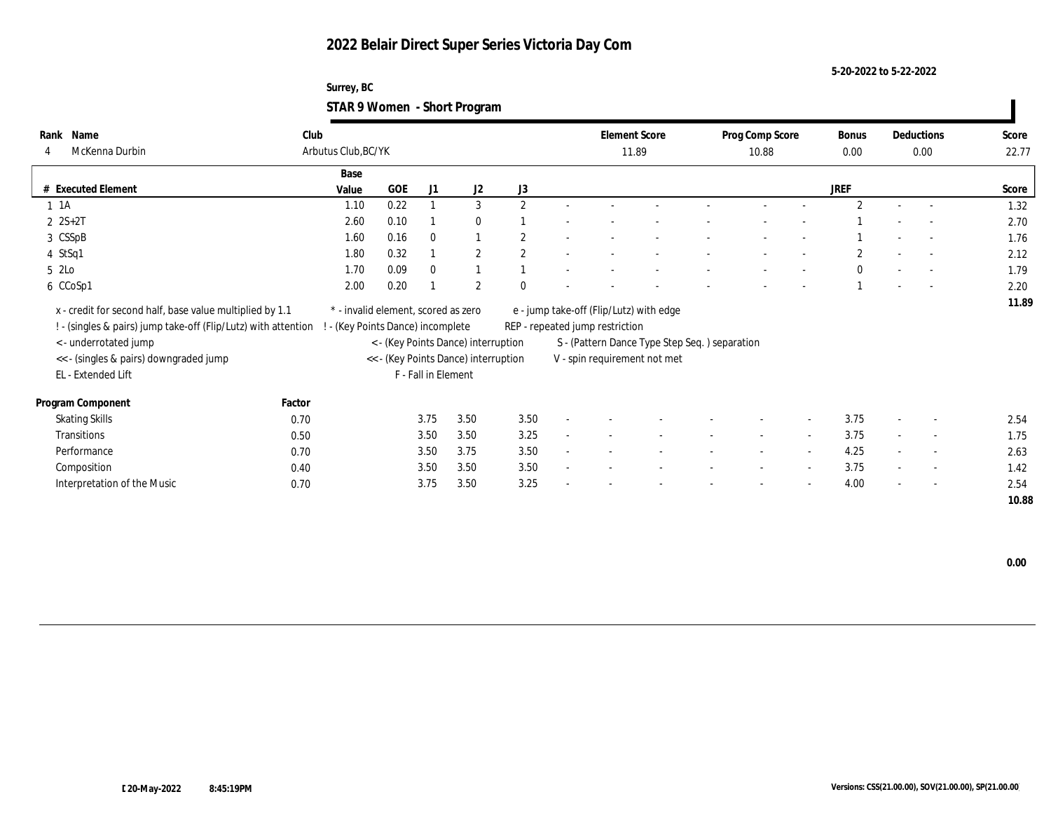### **Surrey, BC STAR 9 Women - Short Program**

|          |                                                                |        |                                     |      |                     | $\tilde{\phantom{a}}$                |                |                                 |                                               |                 |                |                |                |       |
|----------|----------------------------------------------------------------|--------|-------------------------------------|------|---------------------|--------------------------------------|----------------|---------------------------------|-----------------------------------------------|-----------------|----------------|----------------|----------------|-------|
|          | Rank Name                                                      | Club   |                                     |      |                     |                                      |                |                                 | <b>Element Score</b>                          | Prog Comp Score |                | <b>Bonus</b>   | Deductions     | Score |
|          | McKenna Durbin                                                 |        | Arbutus Club, BC/YK                 |      |                     |                                      |                |                                 | 11.89                                         | 10.88           |                | 0.00           | 0.00           | 22.77 |
|          |                                                                |        | Base                                |      |                     |                                      |                |                                 |                                               |                 |                |                |                |       |
|          | # Executed Element                                             |        | Value                               | GOE  | J1                  | J2                                   | J3             |                                 |                                               |                 |                | JREF           |                | Score |
| $1 \t1A$ |                                                                |        | 1.10                                | 0.22 |                     | 3                                    | $\mathbf{2}$   |                                 |                                               |                 |                | $\overline{2}$ |                | 1.32  |
|          | $2 S+2T$                                                       |        | 2.60                                | 0.10 |                     | $\mathbf{0}$                         |                |                                 |                                               |                 |                |                |                | 2.70  |
|          | 3 CSSpB                                                        |        | 1.60                                | 0.16 | $\mathbf{0}$        |                                      | $\overline{c}$ |                                 |                                               |                 |                |                |                | 1.76  |
|          | 4 StSq1                                                        |        | 1.80                                | 0.32 |                     | $\mathbf{2}$                         | 2              |                                 |                                               |                 |                | $\mathbf{2}$   |                | 2.12  |
| 5 2Lo    |                                                                |        | 1.70                                | 0.09 | $\mathbf{0}$        |                                      |                |                                 |                                               |                 |                | $\bf{0}$       |                | 1.79  |
|          | 6 CCoSp1                                                       |        | 2.00                                | 0.20 |                     | $\mathbf{2}$                         | $\mathbf{0}$   |                                 |                                               |                 |                |                |                | 2.20  |
|          | x - credit for second half, base value multiplied by 1.1       |        | * - invalid element, scored as zero |      |                     |                                      |                |                                 | e - jump take-off (Flip/Lutz) with edge       |                 |                |                |                | 11.89 |
|          | ! - (singles & pairs) jump take-off (Flip/Lutz) with attention |        | - (Key Points Dance) incomplete     |      |                     |                                      |                | REP - repeated jump restriction |                                               |                 |                |                |                |       |
|          | <- underrotated jump                                           |        |                                     |      |                     | < - (Key Points Dance) interruption  |                |                                 | S - (Pattern Dance Type Step Seq.) separation |                 |                |                |                |       |
|          | << - (singles & pairs) downgraded jump                         |        |                                     |      |                     | << - (Key Points Dance) interruption |                |                                 | V - spin requirement not met                  |                 |                |                |                |       |
|          | EL - Extended Lift                                             |        |                                     |      | F - Fall in Element |                                      |                |                                 |                                               |                 |                |                |                |       |
|          |                                                                |        |                                     |      |                     |                                      |                |                                 |                                               |                 |                |                |                |       |
|          | Program Component                                              | Factor |                                     |      |                     |                                      |                |                                 |                                               |                 |                |                |                |       |
|          | <b>Skating Skills</b>                                          | 0.70   |                                     |      | 3.75                | 3.50                                 | 3.50           |                                 |                                               |                 |                | 3.75           | $\overline{a}$ | 2.54  |
|          | Transitions                                                    | 0.50   |                                     |      | 3.50                | 3.50                                 | 3.25           |                                 |                                               |                 |                | 3.75           | $\sim$         | 1.75  |
|          | Performance                                                    | 0.70   |                                     |      | 3.50                | 3.75                                 | 3.50           |                                 |                                               |                 | $\overline{a}$ | 4.25           | $\overline{a}$ | 2.63  |
|          | Composition                                                    | 0.40   |                                     |      | 3.50                | 3.50                                 | 3.50           |                                 |                                               |                 |                | 3.75           | $\sim$         | 1.42  |
|          | Interpretation of the Music                                    | 0.70   |                                     |      | 3.75                | 3.50                                 | 3.25           |                                 |                                               |                 |                | 4.00           | $\sim$         | 2.54  |
|          |                                                                |        |                                     |      |                     |                                      |                |                                 |                                               |                 |                |                |                | 10.88 |

 **0.00**

 $\blacksquare$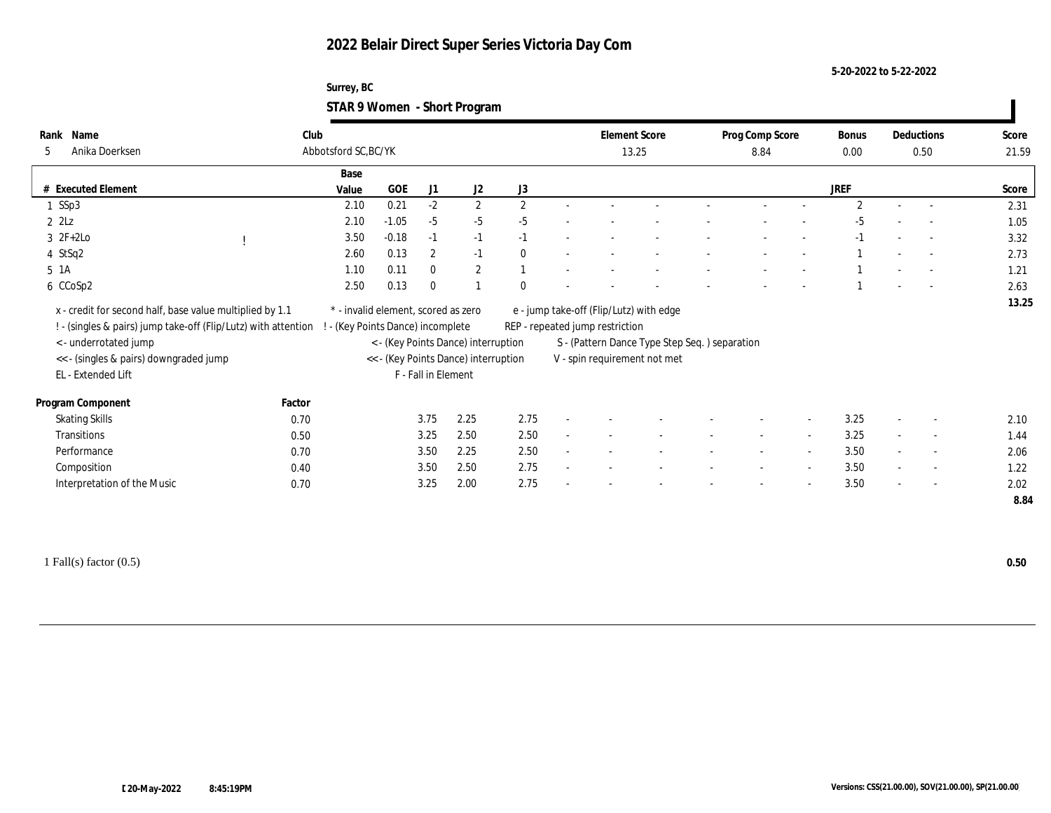### **Surrey, BC STAR 9 Women - Short Program**

| Name<br>Rank                                                                                     | Club   |                                     |         |                     |                                      |                      | <b>Element Score</b>                    |                                               | Prog Comp Score          |        | Bonus          |        | Deductions               | Score |
|--------------------------------------------------------------------------------------------------|--------|-------------------------------------|---------|---------------------|--------------------------------------|----------------------|-----------------------------------------|-----------------------------------------------|--------------------------|--------|----------------|--------|--------------------------|-------|
| Anika Doerksen<br>5                                                                              |        | Abbotsford SC, BC/YK                |         |                     |                                      |                      | 13.25                                   |                                               | 8.84                     |        | 0.00           |        | 0.50                     | 21.59 |
|                                                                                                  |        | Base                                |         |                     |                                      |                      |                                         |                                               |                          |        |                |        |                          |       |
| <b>Executed Element</b>                                                                          |        | Value                               | GOE     | J1                  | J2                                   | J3                   |                                         |                                               |                          |        | <b>JREF</b>    |        |                          | Score |
| 1 SSp3                                                                                           |        | 2.10                                | 0.21    | $-2$                | $\mathbf{2}$                         | $\mathbf{2}^{\circ}$ |                                         |                                               |                          |        | $\overline{2}$ |        |                          | 2.31  |
| $2$ $2$ Lz                                                                                       |        | 2.10                                | $-1.05$ | $-5$                | $-5$                                 | $-5$                 |                                         |                                               |                          |        | -5             |        |                          | 1.05  |
| $3 \t2F+2Lo$                                                                                     |        | 3.50                                | $-0.18$ | $-1$                | $-1$                                 | $-1$                 |                                         |                                               |                          |        | $-1$           |        | $\sim$                   | 3.32  |
| 4 StSq2                                                                                          |        | 2.60                                | 0.13    | $\mathbf{2}$        | $-1$                                 | $\mathbf{0}$         |                                         |                                               |                          |        |                |        |                          | 2.73  |
| 5 1A                                                                                             |        | 1.10                                | 0.11    | $\mathbf{0}$        | $\mathbf{2}$                         |                      |                                         |                                               |                          |        |                |        |                          | 1.21  |
| 6 CCoSp2                                                                                         |        | 2.50                                | 0.13    | $\mathbf{0}$        |                                      | $\Omega$             |                                         |                                               |                          |        |                |        |                          | 2.63  |
| x - credit for second half, base value multiplied by 1.1                                         |        | * - invalid element, scored as zero |         |                     |                                      |                      | e - jump take-off (Flip/Lutz) with edge |                                               |                          |        |                |        |                          | 13.25 |
| ! - (singles & pairs) jump take-off (Flip/Lutz) with attention ! - (Key Points Dance) incomplete |        |                                     |         |                     |                                      |                      | REP - repeated jump restriction         |                                               |                          |        |                |        |                          |       |
| <- underrotated jump                                                                             |        |                                     |         |                     | < - (Key Points Dance) interruption  |                      |                                         | S - (Pattern Dance Type Step Seq.) separation |                          |        |                |        |                          |       |
| << - (singles & pairs) downgraded jump                                                           |        |                                     |         |                     | << - (Key Points Dance) interruption |                      |                                         | V - spin requirement not met                  |                          |        |                |        |                          |       |
|                                                                                                  |        |                                     |         |                     |                                      |                      |                                         |                                               |                          |        |                |        |                          |       |
|                                                                                                  |        |                                     |         |                     |                                      |                      |                                         |                                               |                          |        |                |        |                          |       |
| EL - Extended Lift                                                                               |        |                                     |         | F - Fall in Element |                                      |                      |                                         |                                               |                          |        |                |        |                          |       |
| Program Component                                                                                | Factor |                                     |         |                     |                                      |                      |                                         |                                               |                          |        |                |        |                          |       |
| <b>Skating Skills</b>                                                                            | 0.70   |                                     |         | 3.75                | 2.25                                 | 2.75                 |                                         |                                               |                          |        | 3.25           |        | $\overline{\phantom{a}}$ | 2.10  |
| Transitions                                                                                      | 0.50   |                                     |         | 3.25                | 2.50                                 | 2.50                 |                                         |                                               | $\overline{\phantom{a}}$ | $\sim$ | 3.25           | $\sim$ | $\overline{\phantom{a}}$ | 1.44  |
| Performance                                                                                      | 0.70   |                                     |         | 3.50                | 2.25                                 | 2.50                 |                                         |                                               |                          |        | 3.50           |        | $\overline{\phantom{a}}$ | 2.06  |
| Composition                                                                                      | 0.40   |                                     |         | 3.50                | 2.50                                 | 2.75                 |                                         |                                               | $\overline{\phantom{a}}$ | $\sim$ | 3.50           | $\sim$ | $\sim$                   | 1.22  |
| Interpretation of the Music                                                                      | 0.70   |                                     |         | 3.25                | 2.00                                 | 2.75                 |                                         |                                               |                          |        | 3.50           |        | $\overline{\phantom{a}}$ | 2.02  |

1 Fall(s) factor (0.5) **0.50**

 $\blacksquare$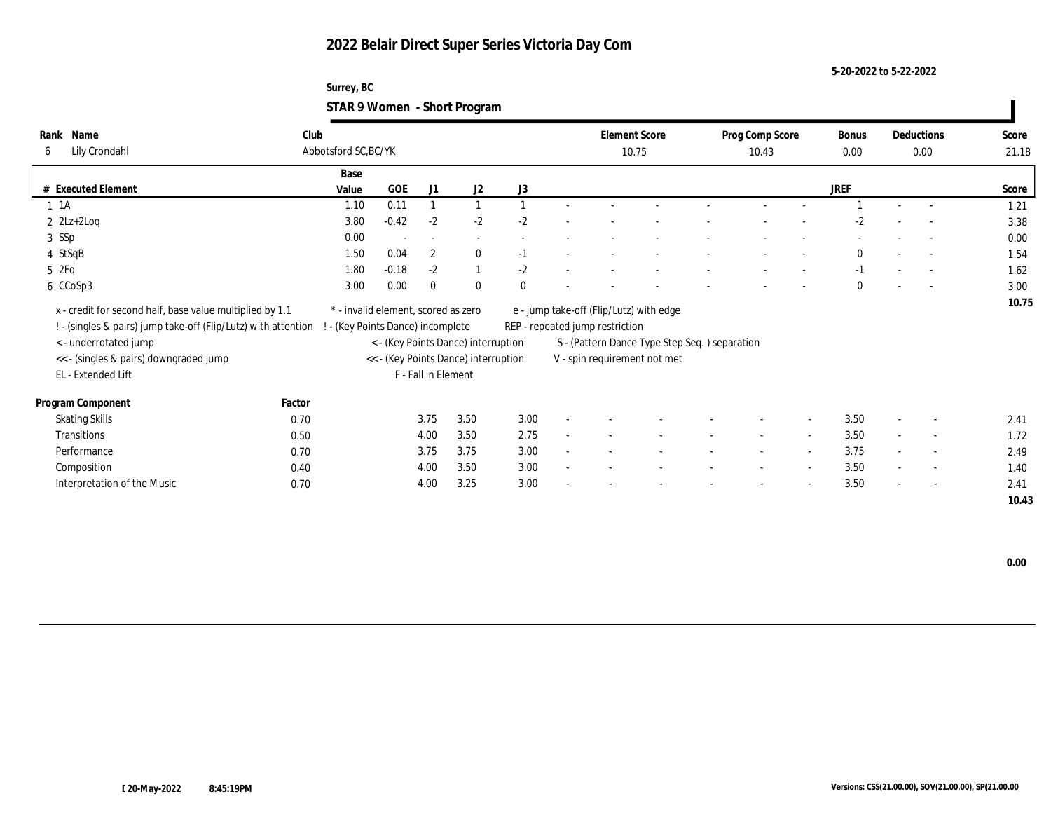**Surrey, BC STAR 9 Women - Short Program**

| Name<br>Rank<br>Lily Crondahl<br>6                                                                                                                                                                                  | Club   | Abbotsford SC, BC/YK                                                   |         |                     |                                                                             |          |                                 | <b>Element Score</b><br>10.75                                                                                            | Prog Comp Score<br>10.43 |                          | <b>Bonus</b><br>0.00 |        | Deductions<br>0.00       | Score<br>21.18 |
|---------------------------------------------------------------------------------------------------------------------------------------------------------------------------------------------------------------------|--------|------------------------------------------------------------------------|---------|---------------------|-----------------------------------------------------------------------------|----------|---------------------------------|--------------------------------------------------------------------------------------------------------------------------|--------------------------|--------------------------|----------------------|--------|--------------------------|----------------|
|                                                                                                                                                                                                                     |        | Base                                                                   |         |                     |                                                                             |          |                                 |                                                                                                                          |                          |                          |                      |        |                          |                |
| # Executed Element                                                                                                                                                                                                  |        | Value                                                                  | GOE     | J1                  | J2                                                                          | J3       |                                 |                                                                                                                          |                          |                          | JREF                 |        |                          | Score          |
| $1 \t1A$                                                                                                                                                                                                            |        | 1.10                                                                   | 0.11    |                     |                                                                             |          |                                 |                                                                                                                          |                          |                          |                      |        |                          | 1.21           |
| $2$ $2Lz+2Log$                                                                                                                                                                                                      |        | 3.80                                                                   | $-0.42$ | $-2$                | $-2$                                                                        | $-2$     |                                 |                                                                                                                          |                          |                          | $-2$                 |        |                          | 3.38           |
| 3 SSp                                                                                                                                                                                                               |        | 0.00                                                                   |         |                     | $\sim$                                                                      |          |                                 |                                                                                                                          |                          |                          |                      |        |                          | 0.00           |
| 4 StSqB                                                                                                                                                                                                             |        | 1.50                                                                   | 0.04    | $\overline{2}$      | $\mathbf{0}$                                                                | $-1$     |                                 |                                                                                                                          |                          |                          | $\mathbf{0}$         |        | $\sim$                   | 1.54           |
| 5 2Fq                                                                                                                                                                                                               |        | 1.80                                                                   | $-0.18$ | $-2$                | $\mathbf{1}$                                                                | $-2$     |                                 |                                                                                                                          |                          |                          | $-1$                 |        | $\overline{\phantom{a}}$ | 1.62           |
| 6 CCoSp3                                                                                                                                                                                                            |        | 3.00                                                                   | 0.00    | $\Omega$            | $\bf{0}$                                                                    | $\theta$ |                                 |                                                                                                                          |                          |                          | $\theta$             |        |                          | 3.00           |
| x - credit for second half, base value multiplied by 1.1<br>! - (singles & pairs) jump take-off (Flip/Lutz) with attention<br>< - underrotated jump<br><< - (singles & pairs) downgraded jump<br>EL - Extended Lift |        | * - invalid element, scored as zero<br>- (Key Points Dance) incomplete |         | F - Fall in Element | < - (Key Points Dance) interruption<br><< - (Key Points Dance) interruption |          | REP - repeated jump restriction | e - jump take-off (Flip/Lutz) with edge<br>S - (Pattern Dance Type Step Seq.) separation<br>V - spin requirement not met |                          |                          |                      |        |                          | 10.75          |
| Program Component                                                                                                                                                                                                   | Factor |                                                                        |         |                     |                                                                             |          |                                 |                                                                                                                          |                          |                          |                      |        |                          |                |
| <b>Skating Skills</b>                                                                                                                                                                                               | 0.70   |                                                                        |         | 3.75                | 3.50                                                                        | 3.00     |                                 |                                                                                                                          |                          | $\overline{\phantom{a}}$ | 3.50                 |        | $\overline{\phantom{a}}$ | 2.41           |
| Transitions                                                                                                                                                                                                         | 0.50   |                                                                        |         | 4.00                | 3.50                                                                        | 2.75     |                                 |                                                                                                                          |                          | $\sim$                   | 3.50                 |        | $\overline{\phantom{a}}$ | 1.72           |
| Performance                                                                                                                                                                                                         | 0.70   |                                                                        |         | 3.75                | 3.75                                                                        | 3.00     |                                 |                                                                                                                          | $\sim$                   | $\overline{\phantom{a}}$ | 3.75                 | $\sim$ | $\overline{\phantom{a}}$ | 2.49           |
| Composition                                                                                                                                                                                                         | 0.40   |                                                                        |         | 4.00                | 3.50                                                                        | 3.00     |                                 |                                                                                                                          |                          | $\sim$                   | 3.50                 | $\sim$ | $\sim$                   | 1.40           |
| Interpretation of the Music                                                                                                                                                                                         | 0.70   |                                                                        |         | 4.00                | 3.25                                                                        | 3.00     |                                 |                                                                                                                          |                          | $\overline{\phantom{a}}$ | 3.50                 | $\sim$ | $\sim$                   | 2.41           |
|                                                                                                                                                                                                                     |        |                                                                        |         |                     |                                                                             |          |                                 |                                                                                                                          |                          |                          |                      |        |                          | 10.43          |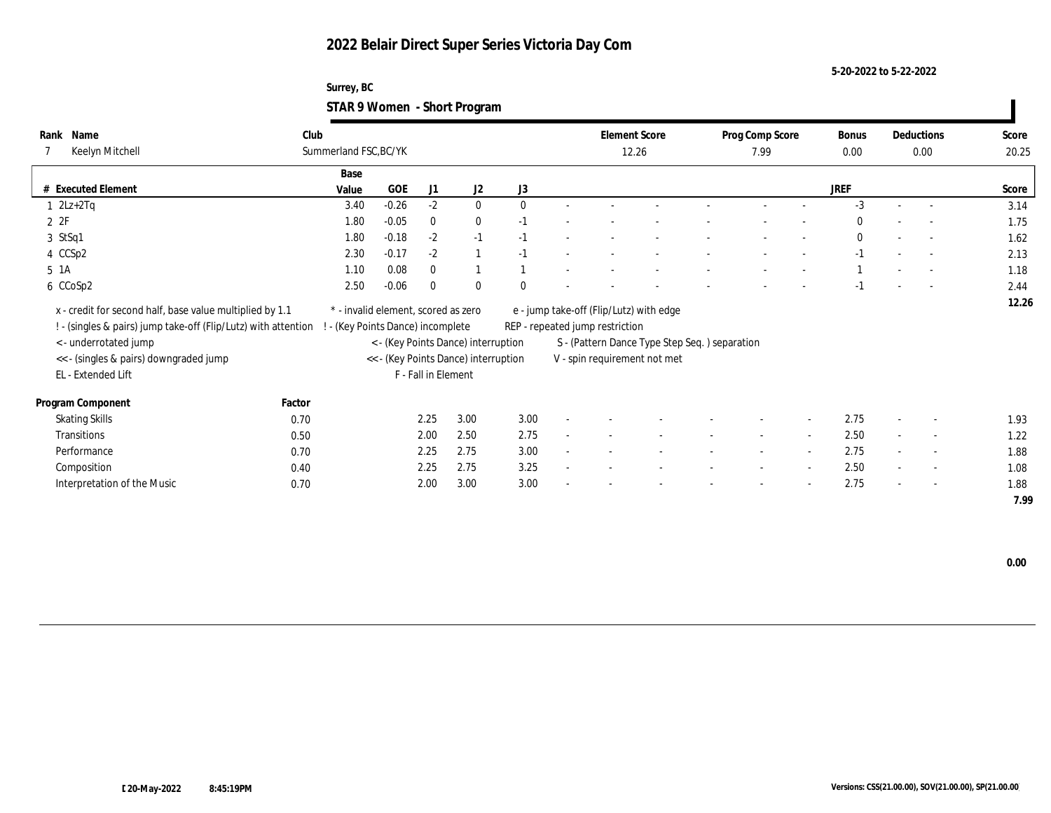### **Surrey, BC STAR 9 Women - Short Program**

| Name<br>Rank<br>Keelyn Mitchell                                                                                            | Club   | Summerland FSC, BC/YK                                                |         |                            |                                      |          |        | <b>Element Score</b>            | 12.26                                         | Prog Comp Score<br>7.99  |        | Bonus<br>$0.00\,$ |        | Deductions<br>0.00       | Score<br>20.25 |
|----------------------------------------------------------------------------------------------------------------------------|--------|----------------------------------------------------------------------|---------|----------------------------|--------------------------------------|----------|--------|---------------------------------|-----------------------------------------------|--------------------------|--------|-------------------|--------|--------------------------|----------------|
|                                                                                                                            |        | Base                                                                 |         |                            |                                      |          |        |                                 |                                               |                          |        |                   |        |                          |                |
| # Executed Element                                                                                                         |        | Value                                                                | GOE     | J1                         | J2                                   | J3       |        |                                 |                                               |                          |        | <b>JREF</b>       |        |                          | Score          |
| $1 \quad 2Lz+2Tq$                                                                                                          |        | 3.40                                                                 | $-0.26$ | $-2$                       | $\mathbf{0}$                         | $\theta$ |        |                                 |                                               |                          |        | $-3$              |        | $\sim$                   | 3.14           |
| 2Z                                                                                                                         |        | 1.80                                                                 | $-0.05$ | $\bf{0}$                   | $\bf{0}$                             | $-1$     |        |                                 |                                               |                          |        | $\mathbf{0}$      | $\sim$ | $\sim$                   | 1.75           |
| 3 StSq1                                                                                                                    |        | 1.80                                                                 | $-0.18$ | $-2$                       | $-1$                                 | $-1$     |        |                                 |                                               |                          |        | $\bf{0}$          |        | $\overline{\phantom{a}}$ | 1.62           |
| 4 CCSp2                                                                                                                    |        | 2.30                                                                 | $-0.17$ | $-2$                       |                                      | $-1$     |        |                                 |                                               |                          |        | $-1$              |        | $\overline{\phantom{a}}$ | 2.13           |
| 5 1A                                                                                                                       |        | 1.10                                                                 | 0.08    | $\mathbf{0}$               |                                      |          |        |                                 |                                               |                          |        |                   |        |                          | 1.18           |
| 6 CCoSp2                                                                                                                   |        | 2.50                                                                 | $-0.06$ | $\mathbf{0}$               | $\theta$                             | $\theta$ |        |                                 |                                               |                          |        | $-1$              |        | $\overline{a}$           | 2.44           |
| x - credit for second half, base value multiplied by 1.1<br>! - (singles & pairs) jump take-off (Flip/Lutz) with attention |        | * - invalid element, scored as zero<br>(Key Points Dance) incomplete |         |                            |                                      |          |        | REP - repeated jump restriction | e - jump take-off (Flip/Lutz) with edge       |                          |        |                   |        |                          | 12.26          |
| < - underrotated jump                                                                                                      |        |                                                                      |         |                            | < - (Key Points Dance) interruption  |          |        |                                 | S - (Pattern Dance Type Step Seq.) separation |                          |        |                   |        |                          |                |
| << - (singles & pairs) downgraded jump                                                                                     |        |                                                                      |         |                            | << - (Key Points Dance) interruption |          |        |                                 | V - spin requirement not met                  |                          |        |                   |        |                          |                |
| EL - Extended Lift                                                                                                         |        |                                                                      |         | <b>F</b> - Fall in Element |                                      |          |        |                                 |                                               |                          |        |                   |        |                          |                |
| Program Component                                                                                                          | Factor |                                                                      |         |                            |                                      |          |        |                                 |                                               |                          |        |                   |        |                          |                |
| <b>Skating Skills</b>                                                                                                      | 0.70   |                                                                      |         | 2.25                       | 3.00                                 | 3.00     | $\sim$ |                                 |                                               | $\overline{\phantom{a}}$ | $\sim$ | 2.75              |        | $\sim$                   | 1.93           |
| Transitions                                                                                                                | 0.50   |                                                                      |         | 2.00                       | 2.50                                 | 2.75     | $\sim$ |                                 |                                               |                          | $\sim$ | 2.50              |        | $\overline{\phantom{a}}$ | 1.22           |
| Performance                                                                                                                | 0.70   |                                                                      |         | 2.25                       | 2.75                                 | 3.00     | $\sim$ |                                 |                                               | $\sim$                   | $\sim$ | 2.75              |        | $\overline{\phantom{a}}$ | 1.88           |
| Composition                                                                                                                | 0.40   |                                                                      |         | 2.25                       | 2.75                                 | 3.25     | $\sim$ |                                 |                                               | $\overline{\phantom{a}}$ | $\sim$ | 2.50              |        | $\overline{\phantom{a}}$ | 1.08           |
| Interpretation of the Music                                                                                                | 0.70   |                                                                      |         | 2.00                       | 3.00                                 | 3.00     | $\sim$ |                                 |                                               | $\sim$                   | $\sim$ | 2.75              | $\sim$ | $\sim$                   | 1.88           |
|                                                                                                                            |        |                                                                      |         |                            |                                      |          |        |                                 |                                               |                          |        |                   |        |                          | 7.99           |

 **0.00**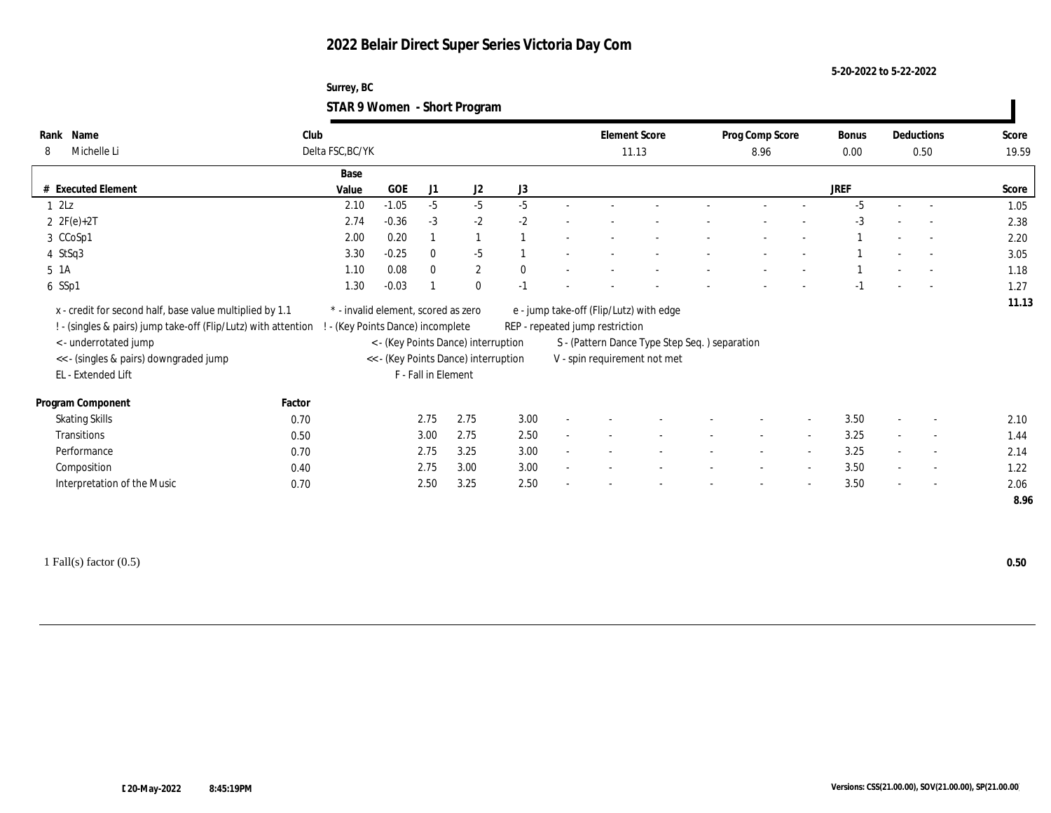### **Surrey, BC STAR 9 Women - Short Program**

| Name<br>Rank<br>Michelle Li<br>8                                                                                                                                                                                     | Club<br>Delta FSC, BC/YK |                                                                                                                |                     |                                     |              |        | <b>Element Score</b>            |                                                                                                                           | Prog Comp Score          |                          | <b>Bonus</b> |                          | Deductions               | Score        |
|----------------------------------------------------------------------------------------------------------------------------------------------------------------------------------------------------------------------|--------------------------|----------------------------------------------------------------------------------------------------------------|---------------------|-------------------------------------|--------------|--------|---------------------------------|---------------------------------------------------------------------------------------------------------------------------|--------------------------|--------------------------|--------------|--------------------------|--------------------------|--------------|
|                                                                                                                                                                                                                      |                          |                                                                                                                |                     |                                     |              |        |                                 | 11.13                                                                                                                     | 8.96                     |                          | 0.00         |                          | 0.50                     | 19.59        |
|                                                                                                                                                                                                                      | Base                     |                                                                                                                |                     |                                     |              |        |                                 |                                                                                                                           |                          |                          |              |                          |                          |              |
| # Executed Element                                                                                                                                                                                                   | Value                    | $GOE$                                                                                                          | J1                  | J2                                  | J3           |        |                                 |                                                                                                                           |                          |                          | <b>JREF</b>  |                          |                          | Score        |
| $1 \t2Lz$                                                                                                                                                                                                            | 2.10                     | $-1.05$                                                                                                        | $-5$                | $-5$                                | $-5$         |        |                                 |                                                                                                                           |                          |                          | $-5$         |                          |                          | 1.05         |
| 2 $2F(e)+2T$                                                                                                                                                                                                         | 2.74                     | $-0.36$                                                                                                        | $-3$                | $-2$                                | $-2$         |        |                                 |                                                                                                                           |                          |                          | $-3$         |                          | $\overline{a}$           | 2.38         |
| 3 CCoSp1                                                                                                                                                                                                             | 2.00                     | 0.20                                                                                                           |                     | $\mathbf{1}$                        |              |        |                                 |                                                                                                                           |                          |                          |              |                          | $\sim$                   | 2.20         |
| 4 StSq3                                                                                                                                                                                                              | 3.30                     | $-0.25$                                                                                                        | $\mathbf{0}$        | $-5$                                |              |        |                                 |                                                                                                                           |                          |                          |              |                          | $\sim$                   | 3.05         |
| 5 1A                                                                                                                                                                                                                 | 1.10                     | 0.08                                                                                                           | $\mathbf{0}$        | $\boldsymbol{2}$                    | $\mathbf{0}$ |        |                                 |                                                                                                                           |                          |                          |              |                          | $\overline{a}$           | 1.18         |
| 6 SSp1                                                                                                                                                                                                               | 1.30                     | $-0.03$                                                                                                        |                     | $\mathbf{0}$                        | $-1$         |        |                                 |                                                                                                                           |                          |                          |              |                          | $\overline{a}$           | 1.27         |
| x - credit for second half, base value multiplied by 1.1<br>! - (singles & pairs) jump take-off (Flip/Lutz) with attention !<br><- underrotated jump<br><< - (singles & pairs) downgraded jump<br>EL - Extended Lift |                          | * - invalid element, scored as zero<br>- (Key Points Dance) incomplete<br><< - (Key Points Dance) interruption | F - Fall in Element | < - (Key Points Dance) interruption |              |        | REP - repeated jump restriction | e - jump take-off (Flip/Lutz) with edge<br>S - (Pattern Dance Type Step Seq. ) separation<br>V - spin requirement not met |                          |                          |              |                          |                          | 11.13        |
| Program Component                                                                                                                                                                                                    | Factor                   |                                                                                                                |                     |                                     |              |        |                                 |                                                                                                                           |                          |                          |              |                          |                          |              |
| <b>Skating Skills</b>                                                                                                                                                                                                | 0.70                     |                                                                                                                | 2.75                | 2.75                                | 3.00         |        |                                 |                                                                                                                           |                          |                          | 3.50         |                          | $\overline{\phantom{a}}$ | 2.10         |
| <b>Transitions</b>                                                                                                                                                                                                   | 0.50                     |                                                                                                                | 3.00                | 2.75                                | 2.50         |        |                                 |                                                                                                                           | $\sim$                   | $\sim$                   | 3.25         | $\sim$                   | $\sim$                   | 1.44         |
| Performance                                                                                                                                                                                                          | 0.70                     |                                                                                                                | 2.75                | 3.25                                | 3.00         |        |                                 |                                                                                                                           |                          |                          | 3.25         | $\overline{\phantom{a}}$ | $\overline{\phantom{a}}$ | 2.14         |
| Composition                                                                                                                                                                                                          | 0.40                     |                                                                                                                | 2.75                | 3.00                                | 3.00         | $\sim$ |                                 |                                                                                                                           | $\overline{\phantom{a}}$ | $\overline{\phantom{a}}$ | 3.50         | $\sim$                   | $\overline{\phantom{a}}$ | 1.22         |
| Interpretation of the Music                                                                                                                                                                                          | 0.70                     |                                                                                                                | 2.50                | 3.25                                | 2.50         |        |                                 |                                                                                                                           |                          | $\overline{\phantom{a}}$ | 3.50         |                          | $\overline{\phantom{a}}$ | 2.06<br>8.96 |

1 Fall(s) factor (0.5) **0.50**

 $\blacksquare$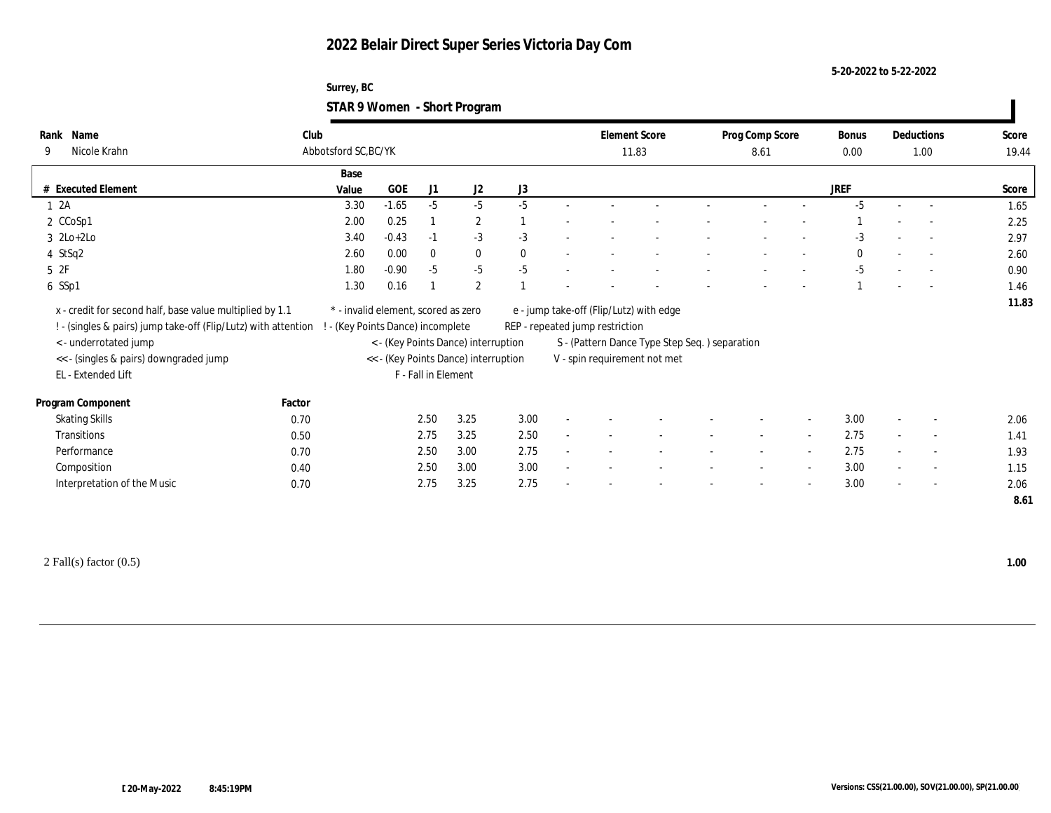### **Surrey, BC STAR 9 Women - Short Program**

| Name<br>Rank                                                   | Club   |                                     |            |                     |                                      |              | <b>Element Score</b>            |                                               | Prog Comp Score |                          | Bonus        |                          | Deductions               | Score        |
|----------------------------------------------------------------|--------|-------------------------------------|------------|---------------------|--------------------------------------|--------------|---------------------------------|-----------------------------------------------|-----------------|--------------------------|--------------|--------------------------|--------------------------|--------------|
| Nicole Krahn<br>9                                              |        | Abbotsford SC, BC/YK                |            |                     |                                      |              | 11.83                           |                                               | 8.61            |                          | $0.00\,$     |                          | 1.00                     | 19.44        |
|                                                                |        |                                     |            |                     |                                      |              |                                 |                                               |                 |                          |              |                          |                          |              |
|                                                                |        | Base                                |            |                     |                                      |              |                                 |                                               |                 |                          |              |                          |                          |              |
| # Executed Element                                             |        | Value                               | <b>GOE</b> | J1                  | J2                                   | J3           |                                 |                                               |                 |                          | <b>JREF</b>  |                          |                          | Score        |
| 12A                                                            |        | 3.30                                | $-1.65$    | $-5$                | $-5$                                 | $-5$         |                                 |                                               |                 |                          | $-5$         | $\sim$                   | $\sim$                   | 1.65         |
| 2 CCoSp1                                                       |        | 2.00                                | 0.25       |                     | $\boldsymbol{2}$                     |              |                                 |                                               |                 |                          |              |                          |                          | 2.25         |
| $3 \text{ } 2\text{Lo}+2\text{Lo}$                             |        | 3.40                                | $-0.43$    | $-1$                | $-3$                                 | $-3$         |                                 |                                               |                 |                          | $-3$         |                          |                          | 2.97         |
| 4 StSq2                                                        |        | 2.60                                | 0.00       | $\bf{0}$            | $\bf{0}$                             | $\mathbf{0}$ |                                 |                                               |                 |                          | $\mathbf{0}$ |                          |                          | 2.60         |
| $5\;\;2F$                                                      |        | 1.80                                | $-0.90$    | $-5$                | $-5$                                 | $-5$         |                                 |                                               |                 |                          | $-5$         |                          | $\overline{a}$           | 0.90         |
| 6 SSp1                                                         |        | 1.30                                | 0.16       |                     | 2                                    |              |                                 |                                               |                 |                          |              |                          | $\overline{a}$           | 1.46         |
|                                                                |        |                                     |            |                     |                                      |              |                                 |                                               |                 |                          |              |                          |                          | 11.83        |
| x - credit for second half, base value multiplied by 1.1       |        | * - invalid element, scored as zero |            |                     |                                      |              |                                 | e - jump take-off (Flip/Lutz) with edge       |                 |                          |              |                          |                          |              |
| ! - (singles & pairs) jump take-off (Flip/Lutz) with attention |        | - (Key Points Dance) incomplete     |            |                     |                                      |              | REP - repeated jump restriction |                                               |                 |                          |              |                          |                          |              |
| < - underrotated jump                                          |        |                                     |            |                     | < - (Key Points Dance) interruption  |              |                                 | S - (Pattern Dance Type Step Seq.) separation |                 |                          |              |                          |                          |              |
| << - (singles & pairs) downgraded jump                         |        |                                     |            |                     | << - (Key Points Dance) interruption |              |                                 | V - spin requirement not met                  |                 |                          |              |                          |                          |              |
|                                                                |        |                                     |            |                     |                                      |              |                                 |                                               |                 |                          |              |                          |                          |              |
| EL - Extended Lift                                             |        |                                     |            | F - Fall in Element |                                      |              |                                 |                                               |                 |                          |              |                          |                          |              |
|                                                                | Factor |                                     |            |                     |                                      |              |                                 |                                               |                 |                          |              |                          |                          |              |
| Program Component                                              |        |                                     |            | 2.50                | 3.25                                 | 3.00         |                                 |                                               |                 |                          | 3.00         |                          | $\overline{\phantom{a}}$ |              |
| <b>Skating Skills</b>                                          | 0.70   |                                     |            |                     |                                      |              |                                 |                                               |                 | $\sim$                   |              |                          | $\overline{\phantom{a}}$ | 2.06         |
| Transitions                                                    | 0.50   |                                     |            | 2.75                | 3.25                                 | 2.50         |                                 |                                               |                 |                          | 2.75         |                          |                          | 1.41         |
| Performance                                                    | 0.70   |                                     |            | 2.50                | 3.00                                 | 2.75         |                                 |                                               |                 | $\overline{\phantom{a}}$ | 2.75         |                          | $\overline{\phantom{a}}$ | 1.93         |
| Composition                                                    | 0.40   |                                     |            | 2.50                | 3.00                                 | 3.00         |                                 |                                               |                 | $\sim$                   | 3.00         | $\overline{\phantom{a}}$ | $\overline{\phantom{a}}$ | 1.15         |
| Interpretation of the Music                                    | 0.70   |                                     |            | 2.75                | 3.25                                 | 2.75         |                                 |                                               |                 |                          | 3.00         |                          | $\overline{\phantom{a}}$ | 2.06<br>8.61 |

2 Fall(s) factor (0.5) **1.00**

 $\mathbf{I}$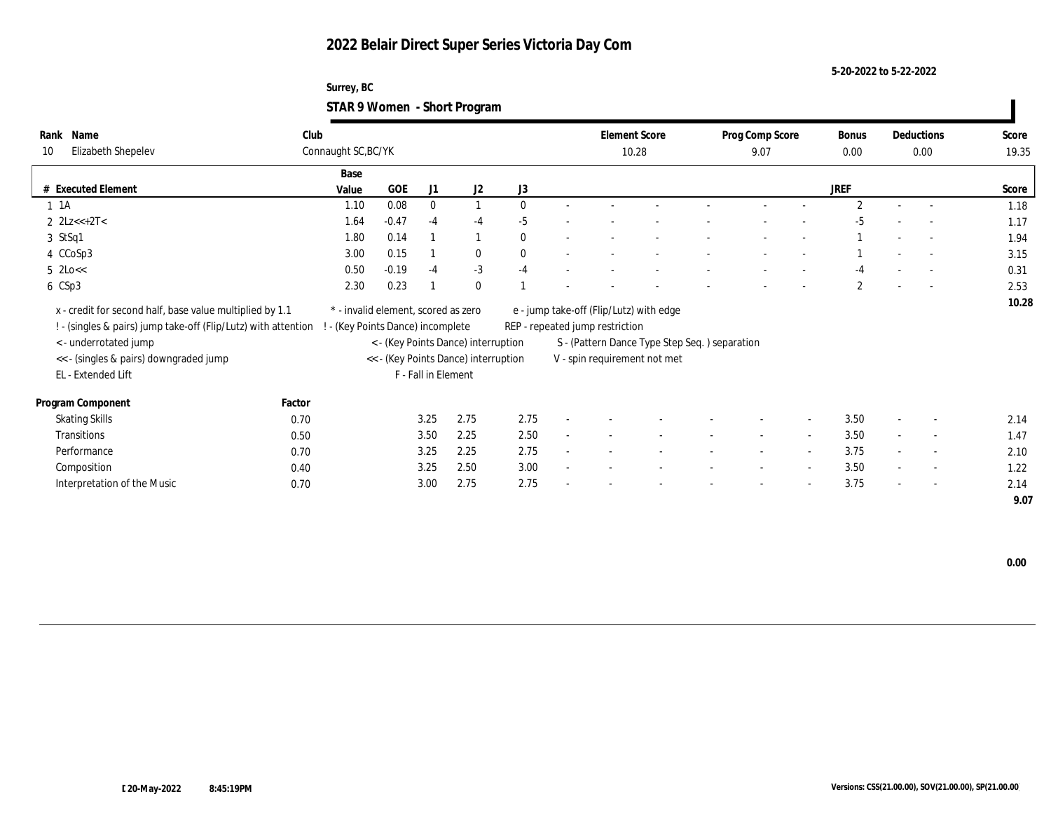### **Surrey, BC STAR 9 Women - Short Program**

| Name                        | Club                                                                                                                                                                                                                                                                                                                                                                                                        |                                                                                                          |                     |                              |                                                                                               |                                                                             |                       |                                                                                                                                             |                          |                                               | <b>Bonus</b>          |                          |                          | Score              |
|-----------------------------|-------------------------------------------------------------------------------------------------------------------------------------------------------------------------------------------------------------------------------------------------------------------------------------------------------------------------------------------------------------------------------------------------------------|----------------------------------------------------------------------------------------------------------|---------------------|------------------------------|-----------------------------------------------------------------------------------------------|-----------------------------------------------------------------------------|-----------------------|---------------------------------------------------------------------------------------------------------------------------------------------|--------------------------|-----------------------------------------------|-----------------------|--------------------------|--------------------------|--------------------|
|                             |                                                                                                                                                                                                                                                                                                                                                                                                             |                                                                                                          |                     |                              |                                                                                               |                                                                             |                       |                                                                                                                                             | 9.07                     |                                               | 0.00                  |                          |                          | 19.35              |
|                             | Base                                                                                                                                                                                                                                                                                                                                                                                                        |                                                                                                          |                     |                              |                                                                                               |                                                                             |                       |                                                                                                                                             |                          |                                               |                       |                          |                          |                    |
|                             | Value                                                                                                                                                                                                                                                                                                                                                                                                       | GOE                                                                                                      | J1                  | J2                           | J3                                                                                            |                                                                             |                       |                                                                                                                                             |                          |                                               | JREF                  |                          |                          | Score              |
|                             | 1.10                                                                                                                                                                                                                                                                                                                                                                                                        | 0.08                                                                                                     | $\bf{0}$            |                              | $\mathbf{0}$                                                                                  |                                                                             |                       |                                                                                                                                             |                          |                                               | $\overline{2}$        |                          |                          | 1.18               |
|                             | 1.64                                                                                                                                                                                                                                                                                                                                                                                                        | $-0.47$                                                                                                  | $-4$                | $-4$                         | $-5$                                                                                          |                                                                             |                       |                                                                                                                                             |                          |                                               | -5                    |                          |                          | 1.17               |
|                             | 1.80                                                                                                                                                                                                                                                                                                                                                                                                        | 0.14                                                                                                     |                     |                              | $\mathbf{0}$                                                                                  |                                                                             |                       |                                                                                                                                             |                          |                                               |                       |                          |                          | 1.94               |
|                             | 3.00                                                                                                                                                                                                                                                                                                                                                                                                        | 0.15                                                                                                     |                     | $\bf{0}$                     | $\mathbf{0}$                                                                                  |                                                                             |                       |                                                                                                                                             |                          |                                               |                       | $\overline{\phantom{a}}$ |                          | 3.15               |
|                             | 0.50                                                                                                                                                                                                                                                                                                                                                                                                        | $-0.19$                                                                                                  | $-4$                | $-3$                         | $-4$                                                                                          |                                                                             |                       |                                                                                                                                             |                          |                                               | -4                    |                          |                          | 0.31               |
|                             | 2.30                                                                                                                                                                                                                                                                                                                                                                                                        | 0.23                                                                                                     |                     | $\mathbf{0}$                 |                                                                                               |                                                                             |                       |                                                                                                                                             |                          |                                               | $\mathbf{2}^{\prime}$ |                          |                          | 2.53               |
|                             |                                                                                                                                                                                                                                                                                                                                                                                                             |                                                                                                          |                     |                              |                                                                                               |                                                                             |                       |                                                                                                                                             |                          |                                               |                       |                          |                          | 10.28              |
|                             |                                                                                                                                                                                                                                                                                                                                                                                                             |                                                                                                          |                     |                              |                                                                                               |                                                                             |                       |                                                                                                                                             |                          |                                               |                       |                          |                          |                    |
|                             |                                                                                                                                                                                                                                                                                                                                                                                                             |                                                                                                          |                     |                              |                                                                                               |                                                                             |                       |                                                                                                                                             |                          |                                               |                       |                          |                          |                    |
|                             |                                                                                                                                                                                                                                                                                                                                                                                                             |                                                                                                          |                     |                              |                                                                                               |                                                                             |                       |                                                                                                                                             |                          |                                               |                       |                          |                          |                    |
|                             |                                                                                                                                                                                                                                                                                                                                                                                                             |                                                                                                          |                     |                              |                                                                                               |                                                                             |                       |                                                                                                                                             |                          |                                               |                       |                          |                          |                    |
|                             |                                                                                                                                                                                                                                                                                                                                                                                                             |                                                                                                          |                     |                              |                                                                                               |                                                                             |                       |                                                                                                                                             |                          |                                               |                       |                          |                          |                    |
|                             |                                                                                                                                                                                                                                                                                                                                                                                                             |                                                                                                          |                     |                              |                                                                                               |                                                                             |                       |                                                                                                                                             |                          |                                               |                       |                          |                          |                    |
|                             |                                                                                                                                                                                                                                                                                                                                                                                                             |                                                                                                          |                     | 2.75                         | 2.75                                                                                          |                                                                             |                       |                                                                                                                                             |                          | $\overline{\phantom{a}}$                      | 3.50                  | $\overline{\phantom{a}}$ | $\sim$                   | 2.14               |
|                             |                                                                                                                                                                                                                                                                                                                                                                                                             |                                                                                                          |                     | 2.25                         | 2.50                                                                                          |                                                                             |                       |                                                                                                                                             |                          |                                               | 3.50                  |                          | $\overline{\phantom{a}}$ | 1.47               |
|                             |                                                                                                                                                                                                                                                                                                                                                                                                             |                                                                                                          |                     | 2.25                         | 2.75                                                                                          |                                                                             |                       |                                                                                                                                             | $\sim$                   | $\overline{a}$                                | 3.75                  |                          | $\overline{\phantom{a}}$ | 2.10               |
|                             |                                                                                                                                                                                                                                                                                                                                                                                                             |                                                                                                          |                     | 2.50                         | 3.00                                                                                          |                                                                             |                       |                                                                                                                                             |                          |                                               | 3.50                  |                          | $\sim$                   | 1.22               |
| Interpretation of the Music | 0.70                                                                                                                                                                                                                                                                                                                                                                                                        |                                                                                                          | 3.00                | 2.75                         | 2.75                                                                                          |                                                                             |                       |                                                                                                                                             | $\overline{\phantom{a}}$ | $\overline{a}$                                | 3.75                  | $\sim$                   | $\sim$                   | 2.14               |
|                             |                                                                                                                                                                                                                                                                                                                                                                                                             |                                                                                                          |                     |                              |                                                                                               |                                                                             |                       |                                                                                                                                             |                          |                                               |                       |                          |                          |                    |
|                             | Rank<br>Elizabeth Shepelev<br><b>Executed Element</b><br>$1 \t1A$<br>2 $2Lz < +2T <$<br>3 StSq1<br>4 CCoSp3<br>$5 \text{ } 2 \text{Lo} <<$<br>6 CSp3<br>x - credit for second half, base value multiplied by 1.1<br>< - underrotated jump<br><< - (singles & pairs) downgraded jump<br>EL - Extended Lift<br>Program Component<br><b>Skating Skills</b><br><b>Transitions</b><br>Performance<br>Composition | ! - (singles & pairs) jump take-off (Flip/Lutz) with attention<br>Factor<br>0.70<br>0.50<br>0.70<br>0.40 | Connaught SC, BC/YK | 3.25<br>3.50<br>3.25<br>3.25 | * - invalid element, scored as zero<br>- (Key Points Dance) incomplete<br>F - Fall in Element | < - (Key Points Dance) interruption<br><< - (Key Points Dance) interruption | $\tilde{\phantom{a}}$ | <b>Element Score</b><br>10.28<br>e - jump take-off (Flip/Lutz) with edge<br>REP - repeated jump restriction<br>V - spin requirement not met |                          | S - (Pattern Dance Type Step Seq.) separation | Prog Comp Score       |                          |                          | Deductions<br>0.00 |

 **0.00**

 $\blacksquare$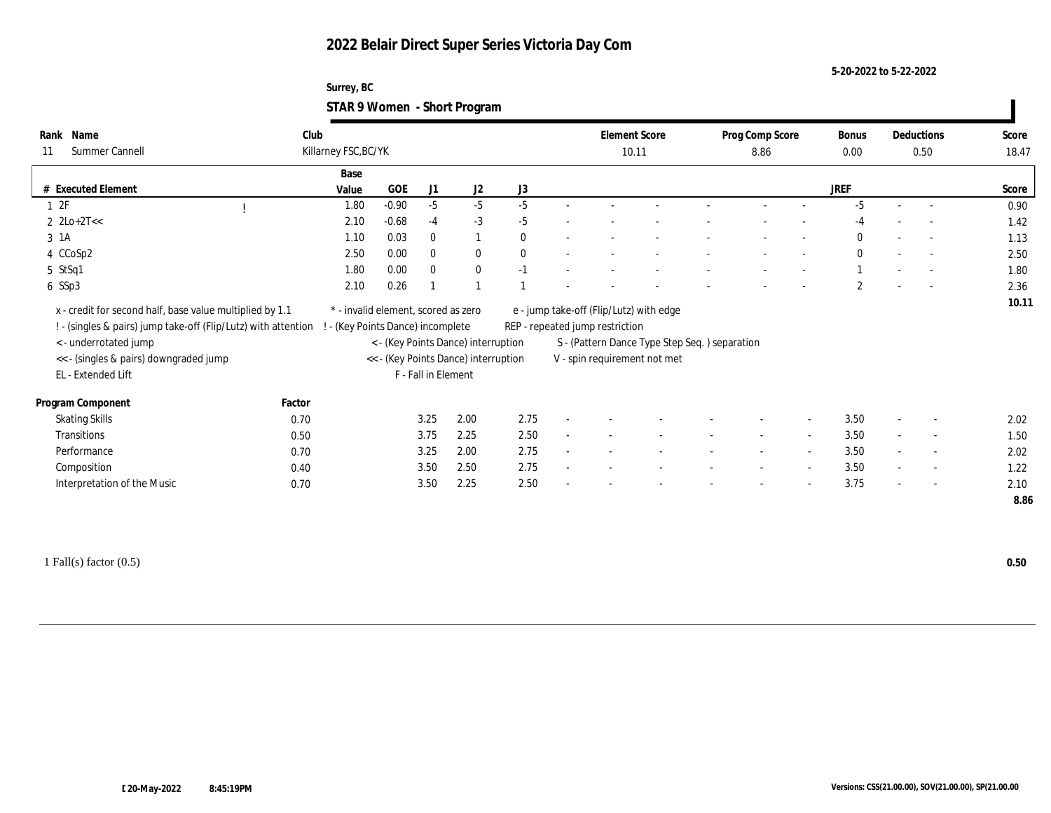### **Surrey, BC STAR 9 Women - Short Program**

| Name<br>Rank                                                                                                                                                                                                                                          | Club   |                                     |         |                     |                                                                             |              | <b>Element Score</b>            |                                                                                                                           | Prog Comp Score |                          | <b>Bonus</b> | Deductions               | Score         |
|-------------------------------------------------------------------------------------------------------------------------------------------------------------------------------------------------------------------------------------------------------|--------|-------------------------------------|---------|---------------------|-----------------------------------------------------------------------------|--------------|---------------------------------|---------------------------------------------------------------------------------------------------------------------------|-----------------|--------------------------|--------------|--------------------------|---------------|
| Summer Cannell<br>11                                                                                                                                                                                                                                  |        | Killarney FSC, BC/YK                |         |                     |                                                                             |              | 10.11                           |                                                                                                                           | 8.86            |                          | $0.00\,$     | 0.50                     | 18.47         |
|                                                                                                                                                                                                                                                       |        | Base                                |         |                     |                                                                             |              |                                 |                                                                                                                           |                 |                          |              |                          |               |
| # Executed Element                                                                                                                                                                                                                                    |        | Value                               | GOE     | J1                  | J2                                                                          | $\rm J3$     |                                 |                                                                                                                           |                 |                          | <b>JREF</b>  |                          | Score         |
| 12F                                                                                                                                                                                                                                                   |        | 1.80                                | $-0.90$ | $-5$                | $-5$                                                                        | $-5$         |                                 |                                                                                                                           |                 |                          | $-5$         |                          | 0.90          |
| $2 \text{ } 2\text{Lo}+2\text{T}<<$                                                                                                                                                                                                                   |        | 2.10                                | $-0.68$ | $-4$                | $-3$                                                                        | $-5$         |                                 |                                                                                                                           |                 |                          | $-4$         |                          | 1.42          |
| 3 1A                                                                                                                                                                                                                                                  |        | 1.10                                | 0.03    | $\bf{0}$            | 1                                                                           | $\mathbf{0}$ |                                 |                                                                                                                           |                 |                          | $\mathbf{0}$ | $\overline{a}$           | 1.13          |
| 4 CCoSp2                                                                                                                                                                                                                                              |        | 2.50                                | 0.00    | $\mathbf{0}$        | $\bf{0}$                                                                    | $\mathbf{0}$ |                                 |                                                                                                                           |                 |                          | $\bf{0}$     | $\overline{a}$           | 2.50          |
| 5 StSq1                                                                                                                                                                                                                                               |        | 1.80                                | 0.00    | $\bf{0}$            | $\bf{0}$                                                                    | $-1$         |                                 |                                                                                                                           |                 |                          |              | $\overline{\phantom{a}}$ | 1.80          |
| 6 SSp3                                                                                                                                                                                                                                                |        | 2.10                                | 0.26    |                     | $\overline{1}$                                                              |              |                                 |                                                                                                                           |                 |                          | $\mathbf{2}$ |                          | 2.36          |
|                                                                                                                                                                                                                                                       |        |                                     |         |                     |                                                                             |              |                                 |                                                                                                                           |                 |                          |              |                          |               |
| x - credit for second half, base value multiplied by 1.1<br>! - (singles & pairs) jump take-off (Flip/Lutz) with attention ! - (Key Points Dance) incomplete<br>< - underrotated jump<br><< - (singles & pairs) downgraded jump<br>EL - Extended Lift |        | * - invalid element, scored as zero |         | F - Fall in Element | < - (Key Points Dance) interruption<br><< - (Key Points Dance) interruption |              | REP - repeated jump restriction | e - jump take-off (Flip/Lutz) with edge<br>S - (Pattern Dance Type Step Seq. ) separation<br>V - spin requirement not met |                 |                          |              |                          |               |
| Program Component                                                                                                                                                                                                                                     | Factor |                                     |         |                     |                                                                             |              |                                 |                                                                                                                           |                 |                          |              |                          |               |
| <b>Skating Skills</b>                                                                                                                                                                                                                                 | 0.70   |                                     |         | 3.25                | 2.00                                                                        | 2.75         |                                 |                                                                                                                           |                 |                          | 3.50         | $\overline{\phantom{a}}$ | 2.02          |
| Transitions                                                                                                                                                                                                                                           | 0.50   |                                     |         | 3.75                | 2.25                                                                        | 2.50         |                                 |                                                                                                                           |                 | $\overline{\phantom{a}}$ | 3.50         | $\overline{\phantom{a}}$ | 10.11<br>1.50 |
| Performance                                                                                                                                                                                                                                           | 0.70   |                                     |         | 3.25                | 2.00                                                                        | 2.75         |                                 |                                                                                                                           |                 | $\overline{\phantom{a}}$ | 3.50         | $\overline{\phantom{a}}$ | 2.02          |
| Composition                                                                                                                                                                                                                                           | 0.40   |                                     |         | 3.50                | 2.50                                                                        | 2.75         |                                 |                                                                                                                           |                 | $\sim$                   | 3.50         | $\overline{\phantom{a}}$ | 1.22          |
| Interpretation of the Music                                                                                                                                                                                                                           | 0.70   |                                     |         | 3.50                | 2.25                                                                        | 2.50         |                                 |                                                                                                                           |                 |                          | 3.75         | $\overline{\phantom{a}}$ | 2.10          |

1 Fall(s) factor (0.5) **0.50**

 $\blacksquare$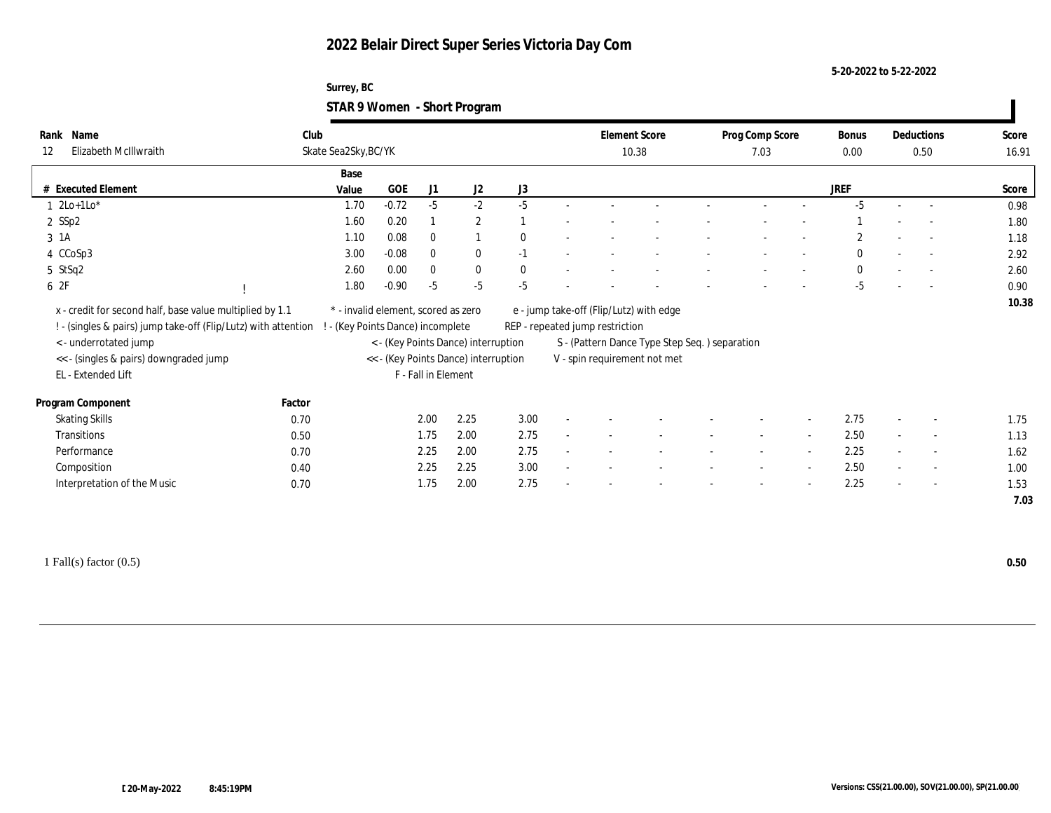### **Surrey, BC STAR 9 Women - Short Program**

| Name<br>Rank                                                                                                                                              | Club   |                                     |                               |                     |                                                                             |              |        | <b>Element Score</b>            |                                                                               | Prog Comp Score |                          | Bonus        | Deductions               | Score |
|-----------------------------------------------------------------------------------------------------------------------------------------------------------|--------|-------------------------------------|-------------------------------|---------------------|-----------------------------------------------------------------------------|--------------|--------|---------------------------------|-------------------------------------------------------------------------------|-----------------|--------------------------|--------------|--------------------------|-------|
| Elizabeth McIllwraith<br>12                                                                                                                               |        | Skate Sea2Sky, BC/YK                |                               |                     |                                                                             |              |        | 10.38                           |                                                                               | 7.03            |                          | $0.00\,$     | 0.50                     | 16.91 |
|                                                                                                                                                           |        | Base                                |                               |                     |                                                                             |              |        |                                 |                                                                               |                 |                          |              |                          |       |
| # Executed Element                                                                                                                                        |        | Value                               | GOE                           | J1                  | J2                                                                          | J3           |        |                                 |                                                                               |                 |                          | <b>JREF</b>  |                          | Score |
| $1 \text{2Lo+1Lo*}$                                                                                                                                       |        | 1.70                                | $-0.72$                       | $-5$                | $-2$                                                                        | $-5$         |        |                                 |                                                                               |                 |                          | $-5$         |                          | 0.98  |
| $2$ SSp2                                                                                                                                                  |        | 1.60                                | 0.20                          |                     | $\mathbf{2}$                                                                |              |        |                                 |                                                                               |                 |                          |              |                          | 1.80  |
| 3 1A                                                                                                                                                      |        | 1.10                                | 0.08                          | $\bf{0}$            |                                                                             | $\mathbf{0}$ |        |                                 |                                                                               |                 |                          | $\mathbf{2}$ |                          | 1.18  |
| 4 CCoSp3                                                                                                                                                  |        | 3.00                                | $-0.08$                       | $\mathbf{0}$        | $\bf{0}$                                                                    | $-1$         | $\sim$ |                                 |                                                                               |                 |                          | $\mathbf{0}$ | $\sim$                   | 2.92  |
| 5 StSq2                                                                                                                                                   |        | 2.60                                | 0.00                          | $\bf{0}$            | $\bf{0}$                                                                    | $\bf{0}$     |        |                                 |                                                                               |                 |                          | $\bf{0}$     | $\sim$                   | 2.60  |
|                                                                                                                                                           |        | 1.80                                | $-0.90$                       | $-5$                | $-5$                                                                        | $-5$         |        |                                 |                                                                               |                 |                          | $-5$         | $\overline{\phantom{a}}$ | 0.90  |
| 6 2F<br>x - credit for second half, base value multiplied by 1.1                                                                                          |        | * - invalid element, scored as zero |                               |                     |                                                                             |              |        |                                 | e - jump take-off (Flip/Lutz) with edge                                       |                 |                          |              |                          | 10.38 |
| ! - (singles & pairs) jump take-off (Flip/Lutz) with attention !<br>< - underrotated jump<br><< - (singles & pairs) downgraded jump<br>EL - Extended Lift |        |                                     | (Key Points Dance) incomplete | F - Fall in Element | < - (Key Points Dance) interruption<br><< - (Key Points Dance) interruption |              |        | REP - repeated jump restriction | S - (Pattern Dance Type Step Seq.) separation<br>V - spin requirement not met |                 |                          |              |                          |       |
| Program Component                                                                                                                                         | Factor |                                     |                               |                     |                                                                             |              |        |                                 |                                                                               |                 |                          |              |                          |       |
| <b>Skating Skills</b>                                                                                                                                     | 0.70   |                                     |                               | 2.00                | 2.25                                                                        | 3.00         |        |                                 |                                                                               |                 | $\overline{\phantom{a}}$ | 2.75         | $\overline{\phantom{a}}$ | 1.75  |
| Transitions                                                                                                                                               | 0.50   |                                     |                               | 1.75                | 2.00                                                                        | 2.75         |        |                                 |                                                                               |                 |                          | 2.50         | $\overline{\phantom{a}}$ | 1.13  |
| Performance                                                                                                                                               | 0.70   |                                     |                               | 2.25                | 2.00                                                                        | 2.75         |        |                                 |                                                                               |                 | $\overline{\phantom{a}}$ | 2.25         | $\overline{\phantom{a}}$ | 1.62  |
| Composition                                                                                                                                               | 0.40   |                                     |                               | 2.25                | 2.25                                                                        | 3.00         |        |                                 |                                                                               |                 | $\overline{\phantom{a}}$ | 2.50         | $\overline{\phantom{a}}$ | 1.00  |
| Interpretation of the Music                                                                                                                               | 0.70   |                                     |                               | 1.75                | 2.00                                                                        | 2.75         |        |                                 |                                                                               |                 |                          | 2.25         | $\overline{\phantom{a}}$ | 1.53  |

1 Fall(s) factor (0.5) **0.50**

 $\blacksquare$